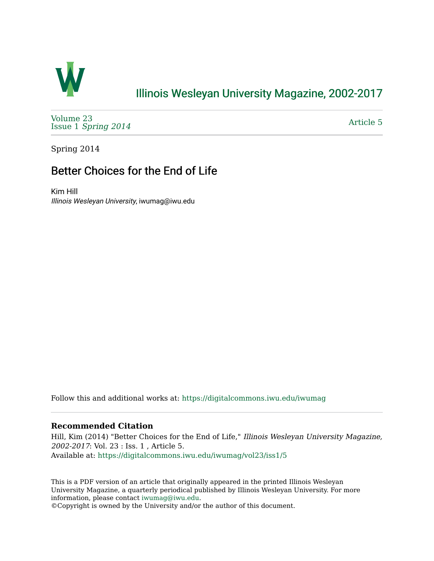

### [Illinois Wesleyan University Magazine, 2002-2017](https://digitalcommons.iwu.edu/iwumag)

[Volume 23](https://digitalcommons.iwu.edu/iwumag/vol23)  Issue 1 [Spring 2014](https://digitalcommons.iwu.edu/iwumag/vol23/iss1)

[Article 5](https://digitalcommons.iwu.edu/iwumag/vol23/iss1/5) 

Spring 2014

## Better Choices for the End of Life

Kim Hill Illinois Wesleyan University, iwumag@iwu.edu

Follow this and additional works at: [https://digitalcommons.iwu.edu/iwumag](https://digitalcommons.iwu.edu/iwumag?utm_source=digitalcommons.iwu.edu%2Fiwumag%2Fvol23%2Fiss1%2F5&utm_medium=PDF&utm_campaign=PDFCoverPages) 

#### **Recommended Citation**

Hill, Kim (2014) "Better Choices for the End of Life," Illinois Wesleyan University Magazine, 2002-2017: Vol. 23 : Iss. 1 , Article 5. Available at: [https://digitalcommons.iwu.edu/iwumag/vol23/iss1/5](https://digitalcommons.iwu.edu/iwumag/vol23/iss1/5?utm_source=digitalcommons.iwu.edu%2Fiwumag%2Fvol23%2Fiss1%2F5&utm_medium=PDF&utm_campaign=PDFCoverPages)

This is a PDF version of an article that originally appeared in the printed Illinois Wesleyan University Magazine, a quarterly periodical published by Illinois Wesleyan University. For more information, please contact [iwumag@iwu.edu](mailto:iwumag@iwu.edu).

©Copyright is owned by the University and/or the author of this document.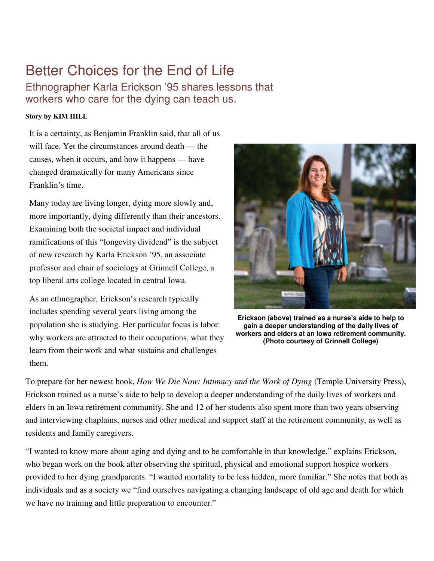# Better Choices for the End of Life

Ethnographer Karla Erickson '95 shares lessons that workers who care for the dying can teach us.

#### **Story by KIM HILL**

It is a certainty, as Benjamin Franklin said, that all of us will face. Yet the circumstances around death — the causes, when it occurs, and how it happens — have changed dramatically for many Americans since Franklin's time.

Many today are living longer, dying more slowly and, more importantly, dying differently than their ancestors. Examining both the societal impact and individual ramifications of this "longevity dividend" is the subject of new research by Karla Erickson '95, an associate professor and chair of sociology at Grinnell College, a top liberal arts college located in central Iowa.

As an ethnographer, Erickson's research typically includes spending several years living among the population she is studying. Her particular focus is labor: why workers are attracted to their occupations, what they learn from their work and what sustains and challenges them.



**Erickson (above) trained as a nurse's aide to help to gain a deeper understanding of the daily lives of workers and elders at an Iowa retirement community. (Photo courtesy of Grinnell College)**

To prepare for her newest book, *How We Die Now: Intimacy and the Work of Dying* (Temple University Press), Erickson trained as a nurse's aide to help to develop a deeper understanding of the daily lives of workers and elders in an Iowa retirement community. She and 12 of her students also spent more than two years observing and interviewing chaplains, nurses and other medical and support staff at the retirement community, as well as residents and family caregivers.

"I wanted to know more about aging and dying and to be comfortable in that knowledge," explains Erickson, who began work on the book after observing the spiritual, physical and emotional support hospice workers provided to her dying grandparents. "I wanted mortality to be less hidden, more familiar." She notes that both as individuals and as a society we "find ourselves navigating a changing landscape of old age and death for which we have no training and little preparation to encounter."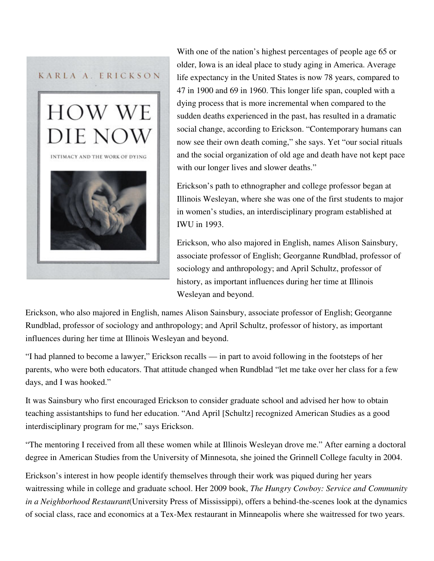

 With one of the nation's highest percentages of people age 65 or older, Iowa is an ideal place to study aging in America. Average life expectancy in the United States is now 78 years, compared to 47 in 1900 and 69 in 1960. This longer life span, coupled with a dying process that is more incremental when compared to the sudden deaths experienced in the past, has resulted in a dramatic social change, according to Erickson. "Contemporary humans can now see their own death coming," she says. Yet "our social rituals and the social organization of old age and death have not kept pace with our longer lives and slower deaths."

Erickson's path to ethnographer and college professor began at Illinois Wesleyan, where she was one of the first students to major in women's studies, an interdisciplinary program established at IWU in 1993.

Erickson, who also majored in English, names Alison Sainsbury, associate professor of English; Georganne Rundblad, professor of sociology and anthropology; and April Schultz, professor of history, as important influences during her time at Illinois Wesleyan and beyond.

Erickson, who also majored in English, names Alison Sainsbury, associate professor of English; Georganne Rundblad, professor of sociology and anthropology; and April Schultz, professor of history, as important influences during her time at Illinois Wesleyan and beyond.

"I had planned to become a lawyer," Erickson recalls — in part to avoid following in the footsteps of her parents, who were both educators. That attitude changed when Rundblad "let me take over her class for a few days, and I was hooked."

It was Sainsbury who first encouraged Erickson to consider graduate school and advised her how to obtain teaching assistantships to fund her education. "And April [Schultz] recognized American Studies as a good interdisciplinary program for me," says Erickson.

"The mentoring I received from all these women while at Illinois Wesleyan drove me." After earning a doctoral degree in American Studies from the University of Minnesota, she joined the Grinnell College faculty in 2004.

Erickson's interest in how people identify themselves through their work was piqued during her years waitressing while in college and graduate school. Her 2009 book, *The Hungry Cowboy: Service and Community in a Neighborhood Restaurant*(University Press of Mississippi), offers a behind-the-scenes look at the dynamics of social class, race and economics at a Tex-Mex restaurant in Minneapolis where she waitressed for two years.